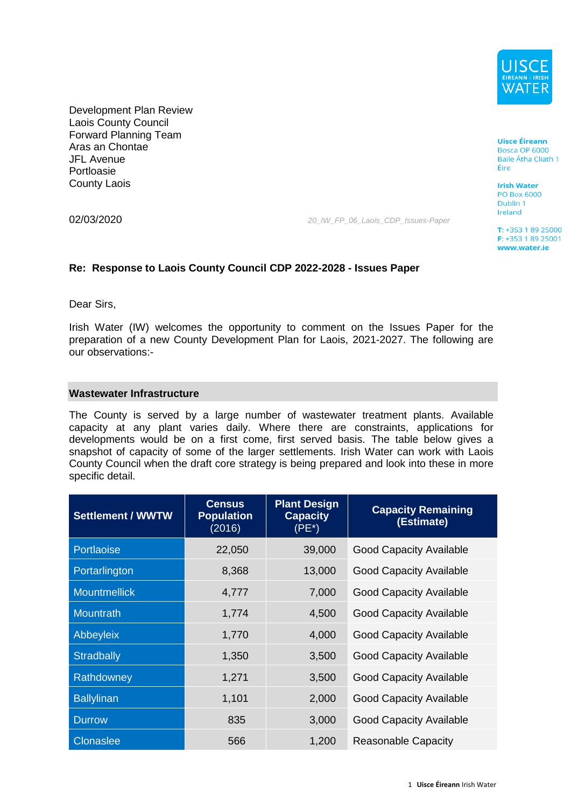

Development Plan Review Laois County Council Forward Planning Team Aras an Chontae JFL Avenue Portloasie County Laois

02/03/2020 *20\_IW\_FP\_06\_Laois\_CDP\_Issues-Paper*

## **Re: Response to Laois County Council CDP 2022-2028 - Issues Paper**

Dear Sirs,

Irish Water (IW) welcomes the opportunity to comment on the Issues Paper for the preparation of a new County Development Plan for Laois, 2021-2027. The following are our observations:-

#### **Wastewater Infrastructure**

The County is served by a large number of wastewater treatment plants. Available capacity at any plant varies daily. Where there are constraints, applications for developments would be on a first come, first served basis. The table below gives a snapshot of capacity of some of the larger settlements. Irish Water can work with Laois County Council when the draft core strategy is being prepared and look into these in more specific detail.

| <b>Settlement / WWTW</b> | <b>Census</b><br><b>Population</b><br>(2016) | <b>Plant Design</b><br><b>Capacity</b><br>$(PE*)$ | <b>Capacity Remaining</b><br>(Estimate) |
|--------------------------|----------------------------------------------|---------------------------------------------------|-----------------------------------------|
| Portlaoise               | 22,050                                       | 39,000                                            | <b>Good Capacity Available</b>          |
| Portarlington            | 8,368                                        | 13,000                                            | <b>Good Capacity Available</b>          |
| <b>Mountmellick</b>      | 4,777                                        | 7,000                                             | <b>Good Capacity Available</b>          |
| Mountrath                | 1,774                                        | 4,500                                             | <b>Good Capacity Available</b>          |
| Abbeyleix                | 1,770                                        | 4,000                                             | <b>Good Capacity Available</b>          |
| <b>Stradbally</b>        | 1,350                                        | 3,500                                             | <b>Good Capacity Available</b>          |
| Rathdowney               | 1,271                                        | 3,500                                             | <b>Good Capacity Available</b>          |
| <b>Ballylinan</b>        | 1,101                                        | 2,000                                             | <b>Good Capacity Available</b>          |
| <b>Durrow</b>            | 835                                          | 3,000                                             | <b>Good Capacity Available</b>          |
| <b>Clonaslee</b>         | 566                                          | 1,200                                             | <b>Reasonable Capacity</b>              |

**Uisce Éireann** Bosca OP 6000 Baile Átha Cliath 1 Éire

**Irish Water PO Box 6000** Dublin 1 Ireland

 $T: +35318925000$ F: +353 1 89 25001 www.water.ie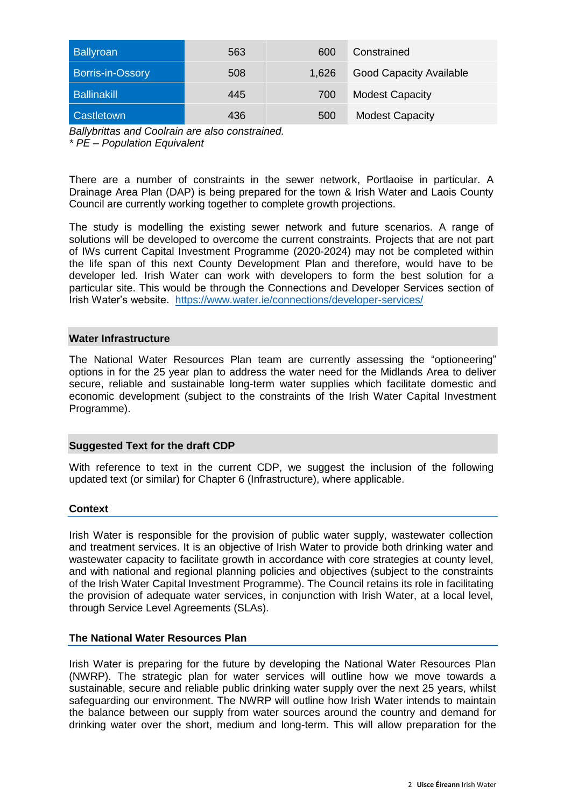| <b>Ballyroan</b>        | 563 | 600   | Constrained                    |
|-------------------------|-----|-------|--------------------------------|
| <b>Borris-in-Ossory</b> | 508 | 1,626 | <b>Good Capacity Available</b> |
| <b>Ballinakill</b>      | 445 | 700   | <b>Modest Capacity</b>         |
| Castletown              | 436 | 500   | <b>Modest Capacity</b>         |

*Ballybrittas and Coolrain are also constrained.*

*\* PE – Population Equivalent*

There are a number of constraints in the sewer network, Portlaoise in particular. A Drainage Area Plan (DAP) is being prepared for the town & Irish Water and Laois County Council are currently working together to complete growth projections.

The study is modelling the existing sewer network and future scenarios. A range of solutions will be developed to overcome the current constraints. Projects that are not part of IWs current Capital Investment Programme (2020-2024) may not be completed within the life span of this next County Development Plan and therefore, would have to be developer led. Irish Water can work with developers to form the best solution for a particular site. This would be through the Connections and Developer Services section of Irish Water's website. <https://www.water.ie/connections/developer-services/>

### **Water Infrastructure**

The National Water Resources Plan team are currently assessing the "optioneering" options in for the 25 year plan to address the water need for the Midlands Area to deliver secure, reliable and sustainable long-term water supplies which facilitate domestic and economic development (subject to the constraints of the Irish Water Capital Investment Programme).

# **Suggested Text for the draft CDP**

With reference to text in the current CDP, we suggest the inclusion of the following updated text (or similar) for Chapter 6 (Infrastructure), where applicable.

# **Context**

Irish Water is responsible for the provision of public water supply, wastewater collection and treatment services. It is an objective of Irish Water to provide both drinking water and wastewater capacity to facilitate growth in accordance with core strategies at county level, and with national and regional planning policies and objectives (subject to the constraints of the Irish Water Capital Investment Programme). The Council retains its role in facilitating the provision of adequate water services, in conjunction with Irish Water, at a local level, through Service Level Agreements (SLAs).

#### **The National Water Resources Plan**

Irish Water is preparing for the future by developing the National Water Resources Plan (NWRP). The strategic plan for water services will outline how we move towards a sustainable, secure and reliable public drinking water supply over the next 25 years, whilst safeguarding our environment. The NWRP will outline how Irish Water intends to maintain the balance between our supply from water sources around the country and demand for drinking water over the short, medium and long-term. This will allow preparation for the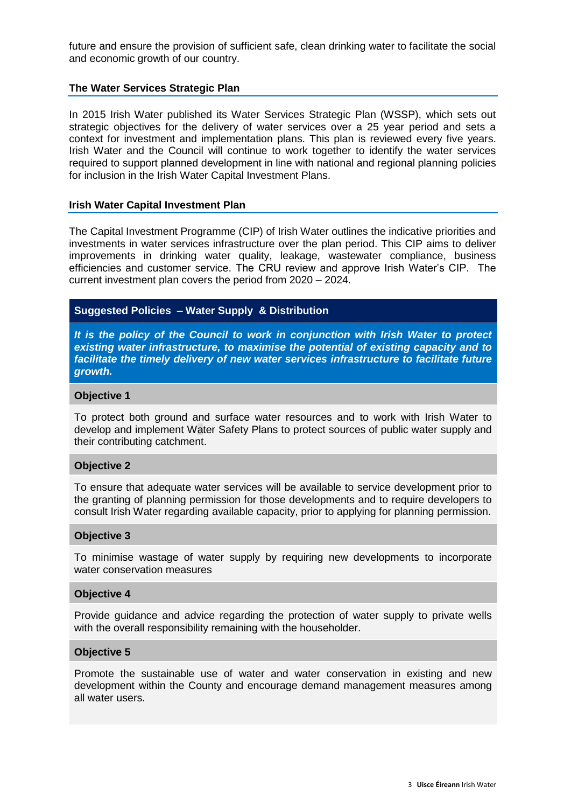future and ensure the provision of sufficient safe, clean drinking water to facilitate the social and economic growth of our country.

#### **The Water Services Strategic Plan**

In 2015 Irish Water published its Water Services Strategic Plan (WSSP), which sets out strategic objectives for the delivery of water services over a 25 year period and sets a context for investment and implementation plans. This plan is reviewed every five years. Irish Water and the Council will continue to work together to identify the water services required to support planned development in line with national and regional planning policies for inclusion in the Irish Water Capital Investment Plans.

#### **Irish Water Capital Investment Plan**

The Capital Investment Programme (CIP) of Irish Water outlines the indicative priorities and investments in water services infrastructure over the plan period. This CIP aims to deliver improvements in drinking water quality, leakage, wastewater compliance, business efficiencies and customer service. The CRU review and approve Irish Water's CIP. The current investment plan covers the period from 2020 – 2024.

# **Suggested Policies – Water Supply & Distribution**

*It is the policy of the Council to work in conjunction with Irish Water to protect existing water infrastructure, to maximise the potential of existing capacity and to facilitate the timely delivery of new water services infrastructure to facilitate future growth.* 

### **Objective 1**

To protect both ground and surface water resources and to work with Irish Water to develop and implement Water Safety Plans to protect sources of public water supply and their contributing catchment.

#### **Objective 2**

To ensure that adequate water services will be available to service development prior to the granting of planning permission for those developments and to require developers to consult Irish Water regarding available capacity, prior to applying for planning permission.

#### **Objective 3**

To minimise wastage of water supply by requiring new developments to incorporate water conservation measures

#### **Objective 4**

Provide guidance and advice regarding the protection of water supply to private wells with the overall responsibility remaining with the householder.

#### **Objective 5**

Promote the sustainable use of water and water conservation in existing and new development within the County and encourage demand management measures among all water users.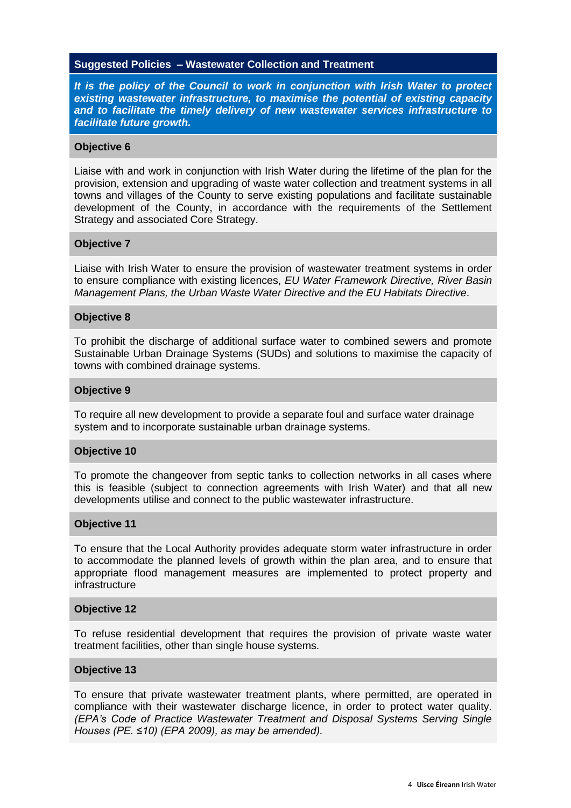### **Suggested Policies – Wastewater Collection and Treatment**

*It is the policy of the Council to work in conjunction with Irish Water to protect existing wastewater infrastructure, to maximise the potential of existing capacity and to facilitate the timely delivery of new wastewater services infrastructure to facilitate future growth.* 

#### **Objective 6**

Liaise with and work in conjunction with Irish Water during the lifetime of the plan for the provision, extension and upgrading of waste water collection and treatment systems in all towns and villages of the County to serve existing populations and facilitate sustainable development of the County, in accordance with the requirements of the Settlement Strategy and associated Core Strategy.

### **Objective 7**

Liaise with Irish Water to ensure the provision of wastewater treatment systems in order to ensure compliance with existing licences, *EU Water Framework Directive, River Basin Management Plans, the Urban Waste Water Directive and the EU Habitats Directive*.

### **Objective 8**

To prohibit the discharge of additional surface water to combined sewers and promote Sustainable Urban Drainage Systems (SUDs) and solutions to maximise the capacity of towns with combined drainage systems.

#### **Objective 9**

To require all new development to provide a separate foul and surface water drainage system and to incorporate sustainable urban drainage systems.

#### **Objective 10**

To promote the changeover from septic tanks to collection networks in all cases where this is feasible (subject to connection agreements with Irish Water) and that all new developments utilise and connect to the public wastewater infrastructure.

#### **Objective 11**

To ensure that the Local Authority provides adequate storm water infrastructure in order to accommodate the planned levels of growth within the plan area, and to ensure that appropriate flood management measures are implemented to protect property and infrastructure

#### **Objective 12**

To refuse residential development that requires the provision of private waste water treatment facilities, other than single house systems.

#### **Objective 13**

To ensure that private wastewater treatment plants, where permitted, are operated in compliance with their wastewater discharge licence, in order to protect water quality. *(EPA's Code of Practice Wastewater Treatment and Disposal Systems Serving Single Houses (PE. ≤10) (EPA 2009), as may be amended).*